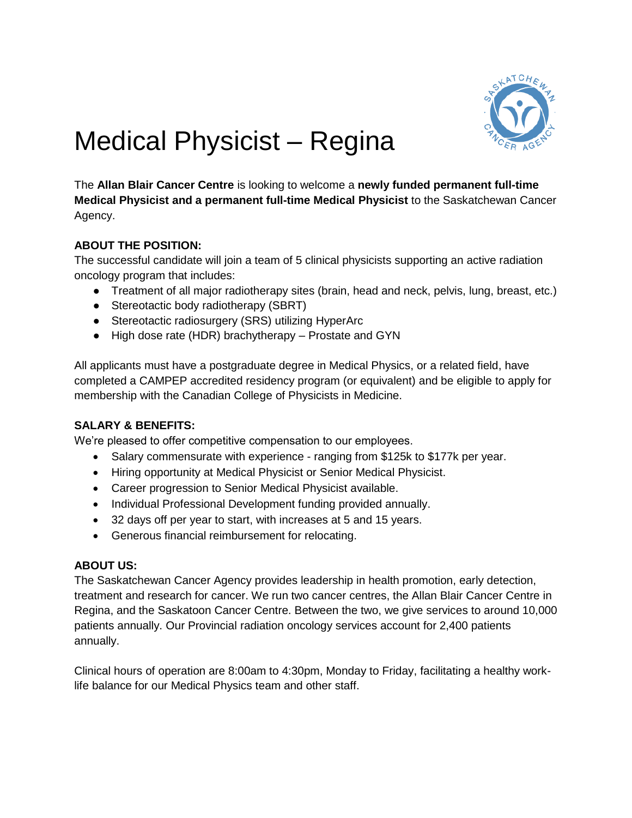

# Medical Physicist – Regina

The **Allan Blair Cancer Centre** is looking to welcome a **newly funded permanent full-time Medical Physicist and a permanent full-time Medical Physicist** to the Saskatchewan Cancer Agency.

## **ABOUT THE POSITION:**

The successful candidate will join a team of 5 clinical physicists supporting an active radiation oncology program that includes:

- Treatment of all major radiotherapy sites (brain, head and neck, pelvis, lung, breast, etc.)
- Stereotactic body radiotherapy (SBRT)
- Stereotactic radiosurgery (SRS) utilizing HyperArc
- High dose rate (HDR) brachytherapy Prostate and GYN

All applicants must have a postgraduate degree in Medical Physics, or a related field, have completed a CAMPEP accredited residency program (or equivalent) and be eligible to apply for membership with the Canadian College of Physicists in Medicine.

## **SALARY & BENEFITS:**

We're pleased to offer competitive compensation to our employees.

- Salary commensurate with experience ranging from \$125k to \$177k per year.
- Hiring opportunity at Medical Physicist or Senior Medical Physicist.
- Career progression to Senior Medical Physicist available.
- Individual Professional Development funding provided annually.
- 32 days off per year to start, with increases at 5 and 15 years.
- Generous financial reimbursement for relocating.

## **ABOUT US:**

The Saskatchewan Cancer Agency provides leadership in health promotion, early detection, treatment and research for cancer. We run two cancer centres, the Allan Blair Cancer Centre in Regina, and the Saskatoon Cancer Centre. Between the two, we give services to around 10,000 patients annually. Our Provincial radiation oncology services account for 2,400 patients annually.

Clinical hours of operation are 8:00am to 4:30pm, Monday to Friday, facilitating a healthy worklife balance for our Medical Physics team and other staff.